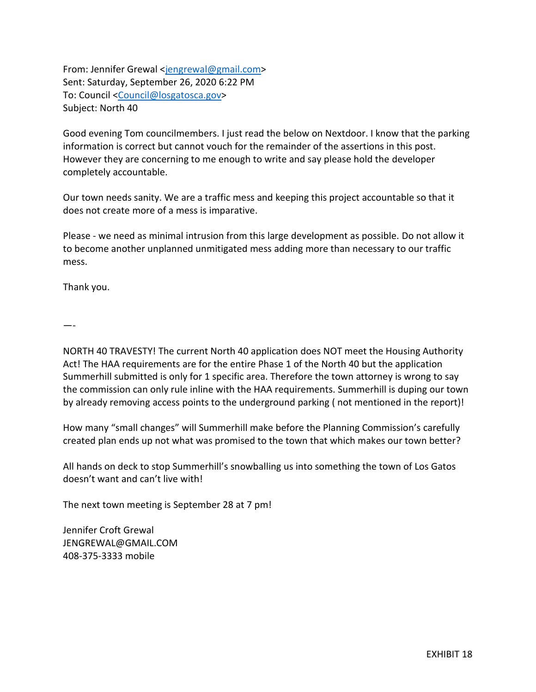From: Jennifer Grewal [<jengrewal@gmail.com>](mailto:jengrewal@gmail.com) Sent: Saturday, September 26, 2020 6:22 PM To: Council [<Council@losgatosca.gov>](mailto:Council@losgatosca.gov) Subject: North 40

Good evening Tom councilmembers. I just read the below on Nextdoor. I know that the parking information is correct but cannot vouch for the remainder of the assertions in this post. However they are concerning to me enough to write and say please hold the developer completely accountable.

Our town needs sanity. We are a traffic mess and keeping this project accountable so that it does not create more of a mess is imparative.

Please - we need as minimal intrusion from this large development as possible. Do not allow it to become another unplanned unmitigated mess adding more than necessary to our traffic mess.

Thank you.

—-

NORTH 40 TRAVESTY! The current North 40 application does NOT meet the Housing Authority Act! The HAA requirements are for the entire Phase 1 of the North 40 but the application Summerhill submitted is only for 1 specific area. Therefore the town attorney is wrong to say the commission can only rule inline with the HAA requirements. Summerhill is duping our town by already removing access points to the underground parking ( not mentioned in the report)!

How many "small changes" will Summerhill make before the Planning Commission's carefully created plan ends up not what was promised to the town that which makes our town better?

All hands on deck to stop Summerhill's snowballing us into something the town of Los Gatos doesn't want and can't live with!

The next town meeting is September 28 at 7 pm!

Jennifer Croft Grewal [JENGREWAL@GMAIL.COM](mailto:JENGREWAL@GMAIL.COM) 408-375-3333 mobile